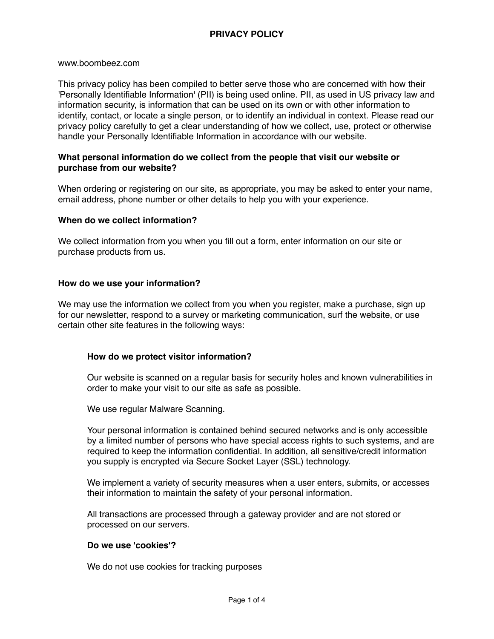www.boombeez.com

This privacy policy has been compiled to better serve those who are concerned with how their 'Personally Identifiable Information' (PII) is being used online. PII, as used in US privacy law and information security, is information that can be used on its own or with other information to identify, contact, or locate a single person, or to identify an individual in context. Please read our privacy policy carefully to get a clear understanding of how we collect, use, protect or otherwise handle your Personally Identifiable Information in accordance with our website.

### **What personal information do we collect from the people that visit our website or purchase from our website?**

When ordering or registering on our site, as appropriate, you may be asked to enter your name, email address, phone number or other details to help you with your experience.

### **When do we collect information?**

We collect information from you when you fill out a form, enter information on our site or purchase products from us.

### **How do we use your information?**

We may use the information we collect from you when you register, make a purchase, sign up for our newsletter, respond to a survey or marketing communication, surf the website, or use certain other site features in the following ways:

### **How do we protect visitor information?**

Our website is scanned on a regular basis for security holes and known vulnerabilities in order to make your visit to our site as safe as possible.

We use regular Malware Scanning.

Your personal information is contained behind secured networks and is only accessible by a limited number of persons who have special access rights to such systems, and are required to keep the information confidential. In addition, all sensitive/credit information you supply is encrypted via Secure Socket Layer (SSL) technology.

We implement a variety of security measures when a user enters, submits, or accesses their information to maintain the safety of your personal information.

All transactions are processed through a gateway provider and are not stored or processed on our servers.

### **Do we use 'cookies'?**

We do not use cookies for tracking purposes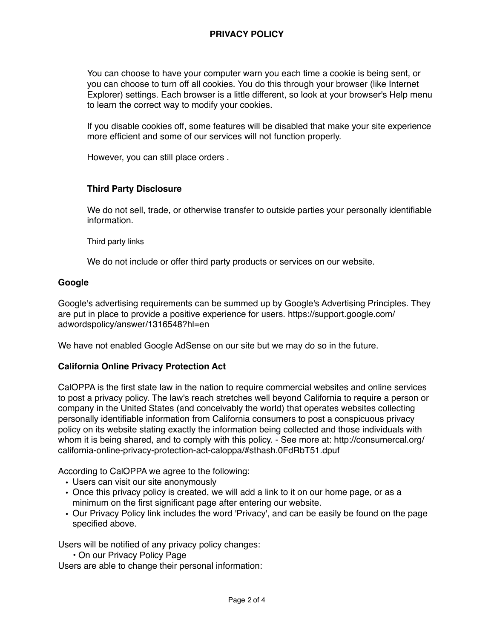You can choose to have your computer warn you each time a cookie is being sent, or you can choose to turn off all cookies. You do this through your browser (like Internet Explorer) settings. Each browser is a little different, so look at your browser's Help menu to learn the correct way to modify your cookies.

If you disable cookies off, some features will be disabled that make your site experience more efficient and some of our services will not function properly.

However, you can still place orders .

# **Third Party Disclosure**

We do not sell, trade, or otherwise transfer to outside parties your personally identifiable information.

Third party links

We do not include or offer third party products or services on our website.

### **Google**

Google's advertising requirements can be summed up by Google's Advertising Principles. They are put in place to provide a positive experience for users. https://support.google.com/ adwordspolicy/answer/1316548?hl=en

We have not enabled Google AdSense on our site but we may do so in the future.

### **California Online Privacy Protection Act**

CalOPPA is the first state law in the nation to require commercial websites and online services to post a privacy policy. The law's reach stretches well beyond California to require a person or company in the United States (and conceivably the world) that operates websites collecting personally identifiable information from California consumers to post a conspicuous privacy policy on its website stating exactly the information being collected and those individuals with whom it is being shared, and to comply with this policy. - See more at: http://consumercal.org/ california-online-privacy-protection-act-caloppa/#sthash.0FdRbT51.dpuf

According to CalOPPA we agree to the following:

- Users can visit our site anonymously
- Once this privacy policy is created, we will add a link to it on our home page, or as a minimum on the first significant page after entering our website.
- Our Privacy Policy link includes the word 'Privacy', and can be easily be found on the page specified above.

Users will be notified of any privacy policy changes:

• On our Privacy Policy Page

Users are able to change their personal information: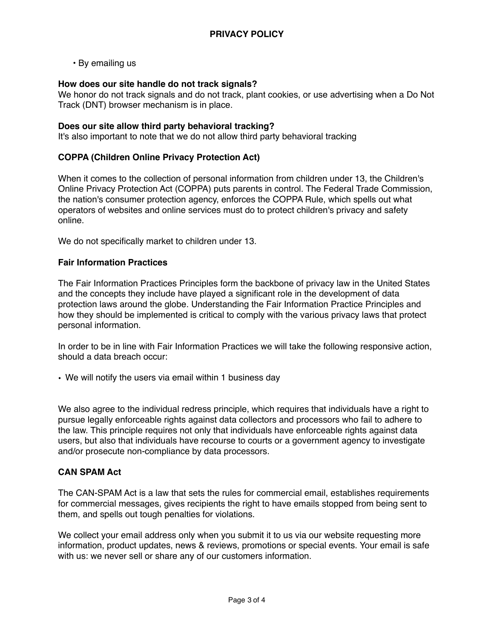• By emailing us

### **How does our site handle do not track signals?**

We honor do not track signals and do not track, plant cookies, or use advertising when a Do Not Track (DNT) browser mechanism is in place.

### **Does our site allow third party behavioral tracking?**

It's also important to note that we do not allow third party behavioral tracking

### **COPPA (Children Online Privacy Protection Act)**

When it comes to the collection of personal information from children under 13, the Children's Online Privacy Protection Act (COPPA) puts parents in control. The Federal Trade Commission, the nation's consumer protection agency, enforces the COPPA Rule, which spells out what operators of websites and online services must do to protect children's privacy and safety online.

We do not specifically market to children under 13.

### **Fair Information Practices**

The Fair Information Practices Principles form the backbone of privacy law in the United States and the concepts they include have played a significant role in the development of data protection laws around the globe. Understanding the Fair Information Practice Principles and how they should be implemented is critical to comply with the various privacy laws that protect personal information.

In order to be in line with Fair Information Practices we will take the following responsive action, should a data breach occur:

• We will notify the users via email within 1 business day

We also agree to the individual redress principle, which requires that individuals have a right to pursue legally enforceable rights against data collectors and processors who fail to adhere to the law. This principle requires not only that individuals have enforceable rights against data users, but also that individuals have recourse to courts or a government agency to investigate and/or prosecute non-compliance by data processors.

### **CAN SPAM Act**

The CAN-SPAM Act is a law that sets the rules for commercial email, establishes requirements for commercial messages, gives recipients the right to have emails stopped from being sent to them, and spells out tough penalties for violations.

We collect your email address only when you submit it to us via our website requesting more information, product updates, news & reviews, promotions or special events. Your email is safe with us: we never sell or share any of our customers information.